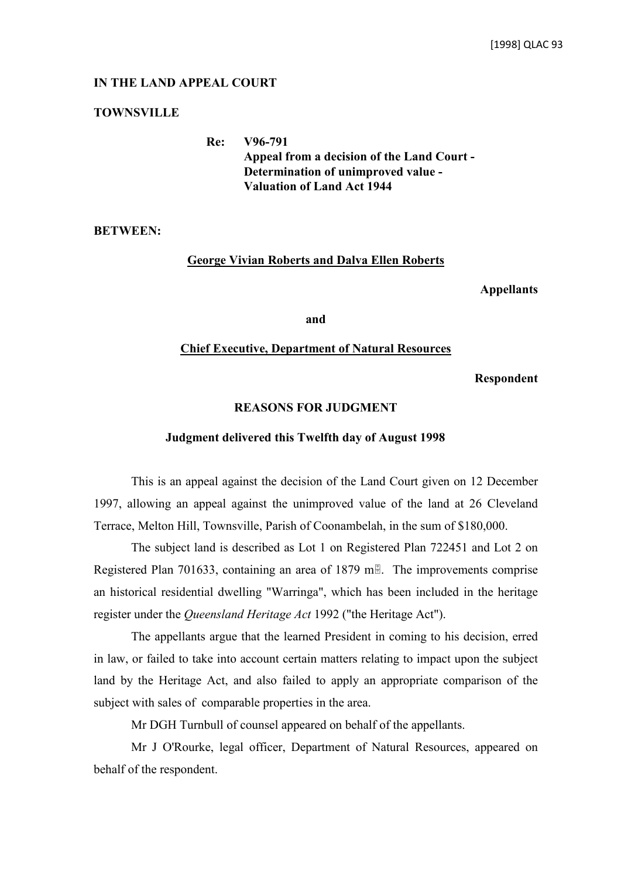## **IN THE LAND APPEAL COURT**

# **TOWNSVILLE**

**Re: V96-791 Appeal from a decision of the Land Court - Determination of unimproved value - Valuation of Land Act 1944**

**BETWEEN:**

## **George Vivian Roberts and Dalva Ellen Roberts**

**Appellants**

**and**

### **Chief Executive, Department of Natural Resources**

**Respondent**

# **REASONS FOR JUDGMENT**

#### **Judgment delivered this Twelfth day of August 1998**

This is an appeal against the decision of the Land Court given on 12 December 1997, allowing an appeal against the unimproved value of the land at 26 Cleveland Terrace, Melton Hill, Townsville, Parish of Coonambelah, in the sum of \$180,000.

The subject land is described as Lot 1 on Registered Plan 722451 and Lot 2 on Registered Plan 701633, containing an area of 1879 m. The improvements comprise an historical residential dwelling "Warringa", which has been included in the heritage register under the *Queensland Heritage Act* 1992 ("the Heritage Act").

The appellants argue that the learned President in coming to his decision, erred in law, or failed to take into account certain matters relating to impact upon the subject land by the Heritage Act, and also failed to apply an appropriate comparison of the subject with sales of comparable properties in the area.

Mr DGH Turnbull of counsel appeared on behalf of the appellants.

Mr J O'Rourke, legal officer, Department of Natural Resources, appeared on behalf of the respondent.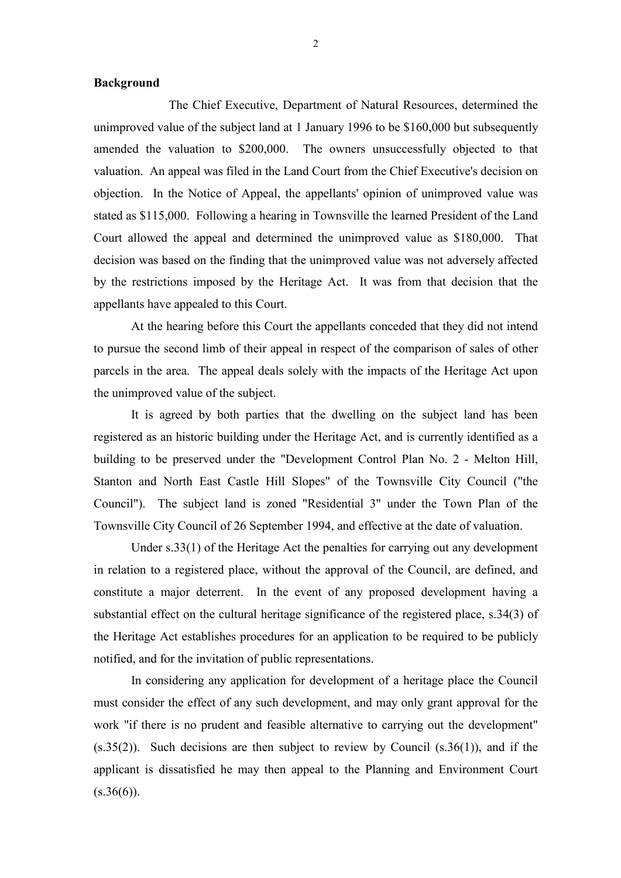### **Background**

The Chief Executive, Department of Natural Resources, determined the unimproved value of the subject land at 1 January 1996 to be \$160,000 but subsequently amended the valuation to \$200,000. The owners unsuccessfully objected to that valuation. An appeal was filed in the Land Court from the Chief Executive's decision on objection. In the Notice of Appeal, the appellants' opinion of unimproved value was stated as \$115,000. Following a hearing in Townsville the learned President of the Land Court allowed the appeal and determined the unimproved value as \$180,000. That decision was based on the finding that the unimproved value was not adversely affected by the restrictions imposed by the Heritage Act. It was from that decision that the appellants have appealed to this Court.

At the hearing before this Court the appellants conceded that they did not intend to pursue the second limb of their appeal in respect of the comparison of sales of other parcels in the area. The appeal deals solely with the impacts of the Heritage Act upon the unimproved value of the subject.

It is agreed by both parties that the dwelling on the subject land has been registered as an historic building under the Heritage Act, and is currently identified as a building to be preserved under the "Development Control Plan No. 2 - Melton Hill, Stanton and North East Castle Hill Slopes" of the Townsville City Council ("the Council"). The subject land is zoned "Residential 3" under the Town Plan of the Townsville City Council of 26 September 1994, and effective at the date of valuation.

Under s.33(1) of the Heritage Act the penalties for carrying out any development in relation to a registered place, without the approval of the Council, are defined, and constitute a major deterrent. In the event of any proposed development having a substantial effect on the cultural heritage significance of the registered place, s.34(3) of the Heritage Act establishes procedures for an application to be required to be publicly notified, and for the invitation of public representations.

In considering any application for development of a heritage place the Council must consider the effect of any such development, and may only grant approval for the work "if there is no prudent and feasible alternative to carrying out the development" (s.35(2)). Such decisions are then subject to review by Council (s.36(1)), and if the applicant is dissatisfied he may then appeal to the Planning and Environment Court  $(s.36(6))$ .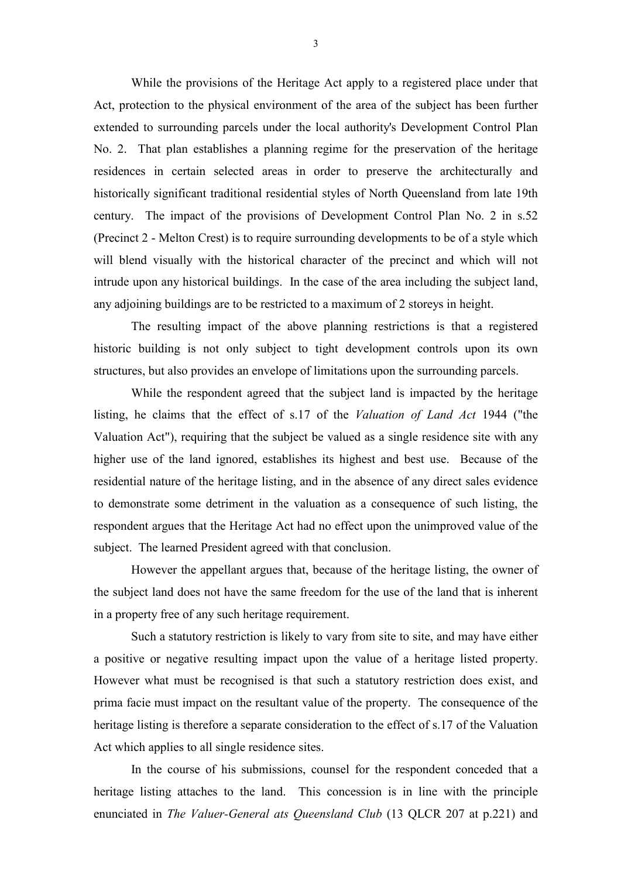While the provisions of the Heritage Act apply to a registered place under that Act, protection to the physical environment of the area of the subject has been further extended to surrounding parcels under the local authority's Development Control Plan No. 2. That plan establishes a planning regime for the preservation of the heritage residences in certain selected areas in order to preserve the architecturally and historically significant traditional residential styles of North Queensland from late 19th century. The impact of the provisions of Development Control Plan No. 2 in s.52 (Precinct 2 - Melton Crest) is to require surrounding developments to be of a style which will blend visually with the historical character of the precinct and which will not intrude upon any historical buildings. In the case of the area including the subject land, any adjoining buildings are to be restricted to a maximum of 2 storeys in height.

The resulting impact of the above planning restrictions is that a registered historic building is not only subject to tight development controls upon its own structures, but also provides an envelope of limitations upon the surrounding parcels.

While the respondent agreed that the subject land is impacted by the heritage listing, he claims that the effect of s.17 of the *Valuation of Land Act* 1944 ("the Valuation Act"), requiring that the subject be valued as a single residence site with any higher use of the land ignored, establishes its highest and best use. Because of the residential nature of the heritage listing, and in the absence of any direct sales evidence to demonstrate some detriment in the valuation as a consequence of such listing, the respondent argues that the Heritage Act had no effect upon the unimproved value of the subject. The learned President agreed with that conclusion.

However the appellant argues that, because of the heritage listing, the owner of the subject land does not have the same freedom for the use of the land that is inherent in a property free of any such heritage requirement.

Such a statutory restriction is likely to vary from site to site, and may have either a positive or negative resulting impact upon the value of a heritage listed property. However what must be recognised is that such a statutory restriction does exist, and prima facie must impact on the resultant value of the property. The consequence of the heritage listing is therefore a separate consideration to the effect of s.17 of the Valuation Act which applies to all single residence sites.

In the course of his submissions, counsel for the respondent conceded that a heritage listing attaches to the land. This concession is in line with the principle enunciated in *The Valuer-General ats Queensland Club* (13 QLCR 207 at p.221) and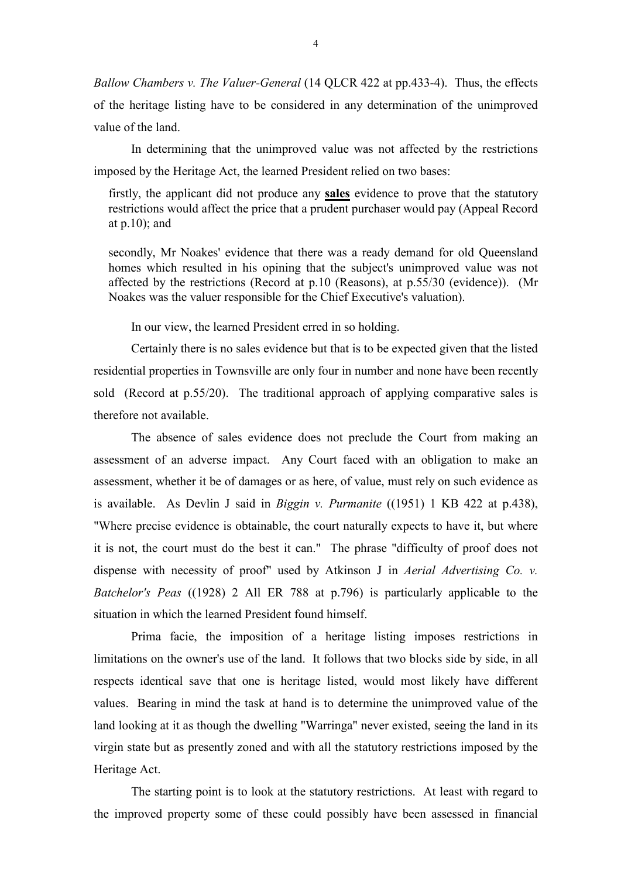*Ballow Chambers v. The Valuer-General* (14 QLCR 422 at pp.433-4). Thus, the effects of the heritage listing have to be considered in any determination of the unimproved value of the land.

In determining that the unimproved value was not affected by the restrictions imposed by the Heritage Act, the learned President relied on two bases:

firstly, the applicant did not produce any **sales** evidence to prove that the statutory restrictions would affect the price that a prudent purchaser would pay (Appeal Record at  $p.10$ ; and

secondly, Mr Noakes' evidence that there was a ready demand for old Queensland homes which resulted in his opining that the subject's unimproved value was not affected by the restrictions (Record at p.10 (Reasons), at p.55/30 (evidence)). (Mr Noakes was the valuer responsible for the Chief Executive's valuation).

In our view, the learned President erred in so holding.

Certainly there is no sales evidence but that is to be expected given that the listed residential properties in Townsville are only four in number and none have been recently sold (Record at p.55/20). The traditional approach of applying comparative sales is therefore not available.

The absence of sales evidence does not preclude the Court from making an assessment of an adverse impact. Any Court faced with an obligation to make an assessment, whether it be of damages or as here, of value, must rely on such evidence as is available. As Devlin J said in *Biggin v. Purmanite* ((1951) 1 KB 422 at p.438), "Where precise evidence is obtainable, the court naturally expects to have it, but where it is not, the court must do the best it can." The phrase "difficulty of proof does not dispense with necessity of proof" used by Atkinson J in *Aerial Advertising Co. v. Batchelor's Peas* ((1928) 2 All ER 788 at p.796) is particularly applicable to the situation in which the learned President found himself.

Prima facie, the imposition of a heritage listing imposes restrictions in limitations on the owner's use of the land. It follows that two blocks side by side, in all respects identical save that one is heritage listed, would most likely have different values. Bearing in mind the task at hand is to determine the unimproved value of the land looking at it as though the dwelling "Warringa" never existed, seeing the land in its virgin state but as presently zoned and with all the statutory restrictions imposed by the Heritage Act.

The starting point is to look at the statutory restrictions. At least with regard to the improved property some of these could possibly have been assessed in financial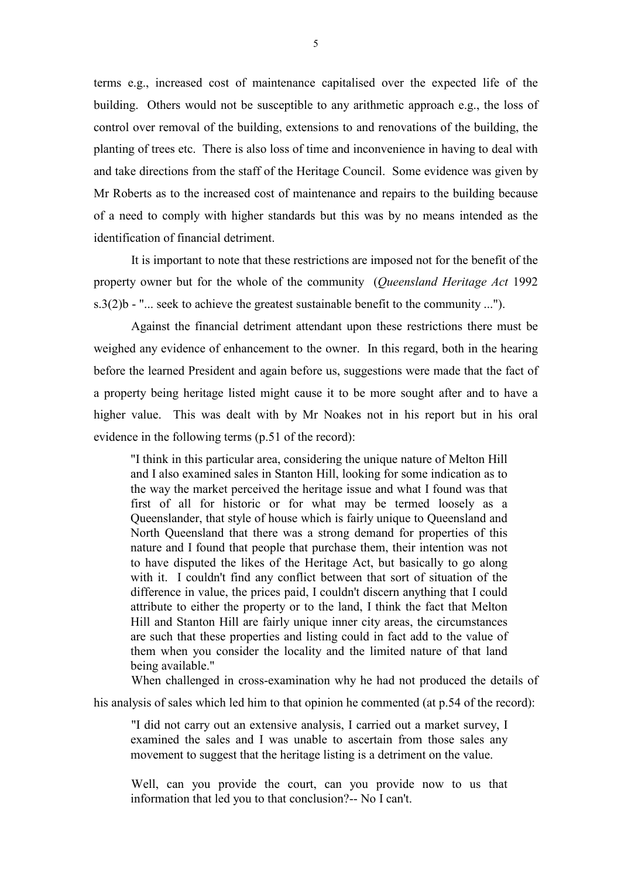terms e.g., increased cost of maintenance capitalised over the expected life of the building. Others would not be susceptible to any arithmetic approach e.g., the loss of control over removal of the building, extensions to and renovations of the building, the planting of trees etc. There is also loss of time and inconvenience in having to deal with and take directions from the staff of the Heritage Council. Some evidence was given by Mr Roberts as to the increased cost of maintenance and repairs to the building because of a need to comply with higher standards but this was by no means intended as the identification of financial detriment.

It is important to note that these restrictions are imposed not for the benefit of the property owner but for the whole of the community (*Queensland Heritage Act* 1992 s.3(2)b - " $\ldots$  seek to achieve the greatest sustainable benefit to the community  $\ldots$ ").

Against the financial detriment attendant upon these restrictions there must be weighed any evidence of enhancement to the owner. In this regard, both in the hearing before the learned President and again before us, suggestions were made that the fact of a property being heritage listed might cause it to be more sought after and to have a higher value. This was dealt with by Mr Noakes not in his report but in his oral evidence in the following terms (p.51 of the record):

"I think in this particular area, considering the unique nature of Melton Hill and I also examined sales in Stanton Hill, looking for some indication as to the way the market perceived the heritage issue and what I found was that first of all for historic or for what may be termed loosely as a Queenslander, that style of house which is fairly unique to Queensland and North Queensland that there was a strong demand for properties of this nature and I found that people that purchase them, their intention was not to have disputed the likes of the Heritage Act, but basically to go along with it. I couldn't find any conflict between that sort of situation of the difference in value, the prices paid, I couldn't discern anything that I could attribute to either the property or to the land, I think the fact that Melton Hill and Stanton Hill are fairly unique inner city areas, the circumstances are such that these properties and listing could in fact add to the value of them when you consider the locality and the limited nature of that land being available."

When challenged in cross-examination why he had not produced the details of his analysis of sales which led him to that opinion he commented (at p.54 of the record):

"I did not carry out an extensive analysis, I carried out a market survey, I examined the sales and I was unable to ascertain from those sales any movement to suggest that the heritage listing is a detriment on the value.

Well, can you provide the court, can you provide now to us that information that led you to that conclusion?-- No I can't.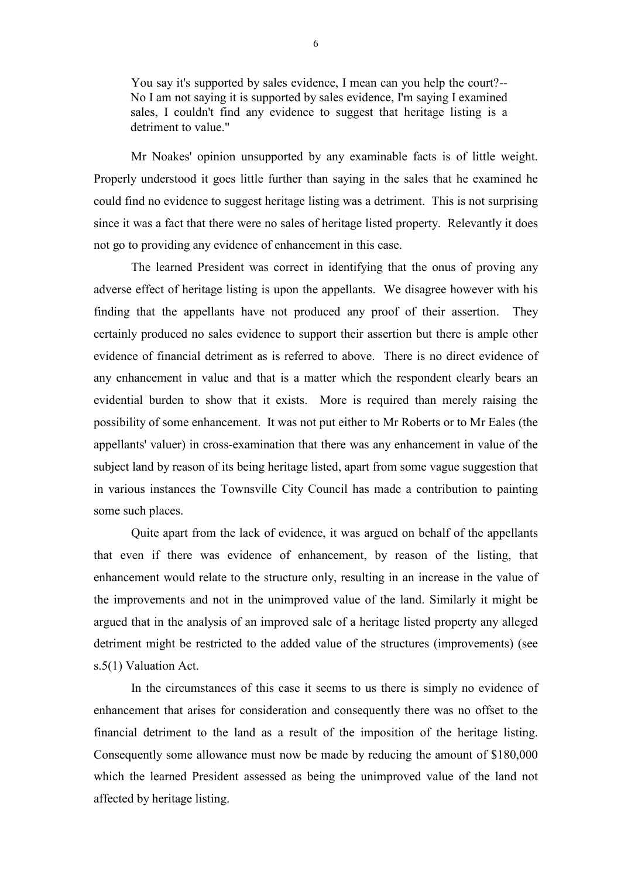You say it's supported by sales evidence, I mean can you help the court?-- No I am not saying it is supported by sales evidence, I'm saying I examined sales, I couldn't find any evidence to suggest that heritage listing is a detriment to value."

Mr Noakes' opinion unsupported by any examinable facts is of little weight. Properly understood it goes little further than saying in the sales that he examined he could find no evidence to suggest heritage listing was a detriment. This is not surprising since it was a fact that there were no sales of heritage listed property. Relevantly it does not go to providing any evidence of enhancement in this case.

The learned President was correct in identifying that the onus of proving any adverse effect of heritage listing is upon the appellants. We disagree however with his finding that the appellants have not produced any proof of their assertion. They certainly produced no sales evidence to support their assertion but there is ample other evidence of financial detriment as is referred to above. There is no direct evidence of any enhancement in value and that is a matter which the respondent clearly bears an evidential burden to show that it exists. More is required than merely raising the possibility of some enhancement. It was not put either to Mr Roberts or to Mr Eales (the appellants' valuer) in cross-examination that there was any enhancement in value of the subject land by reason of its being heritage listed, apart from some vague suggestion that in various instances the Townsville City Council has made a contribution to painting some such places.

Quite apart from the lack of evidence, it was argued on behalf of the appellants that even if there was evidence of enhancement, by reason of the listing, that enhancement would relate to the structure only, resulting in an increase in the value of the improvements and not in the unimproved value of the land. Similarly it might be argued that in the analysis of an improved sale of a heritage listed property any alleged detriment might be restricted to the added value of the structures (improvements) (see s.5(1) Valuation Act.

In the circumstances of this case it seems to us there is simply no evidence of enhancement that arises for consideration and consequently there was no offset to the financial detriment to the land as a result of the imposition of the heritage listing. Consequently some allowance must now be made by reducing the amount of \$180,000 which the learned President assessed as being the unimproved value of the land not affected by heritage listing.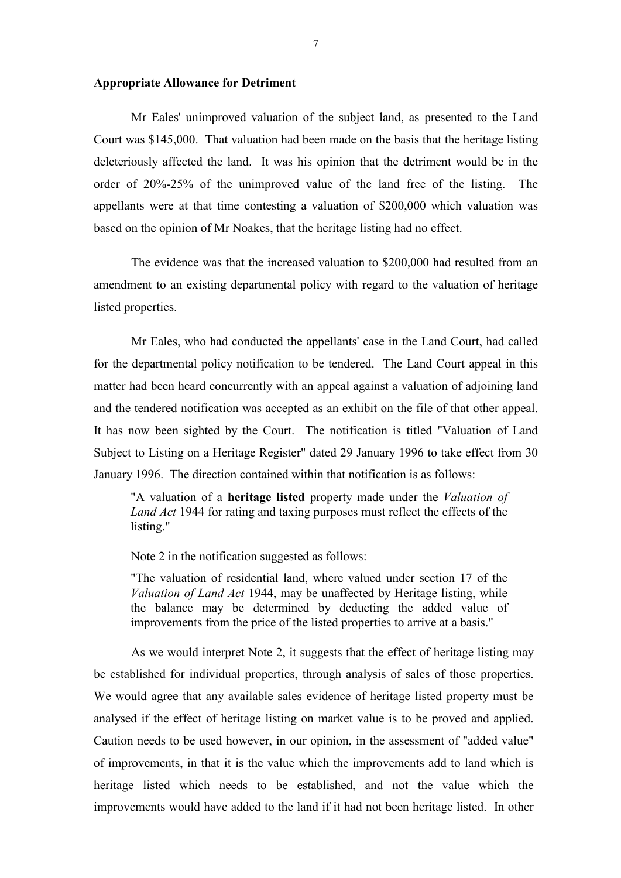### **Appropriate Allowance for Detriment**

Mr Eales' unimproved valuation of the subject land, as presented to the Land Court was \$145,000. That valuation had been made on the basis that the heritage listing deleteriously affected the land. It was his opinion that the detriment would be in the order of 20%-25% of the unimproved value of the land free of the listing. The appellants were at that time contesting a valuation of \$200,000 which valuation was based on the opinion of Mr Noakes, that the heritage listing had no effect.

The evidence was that the increased valuation to \$200,000 had resulted from an amendment to an existing departmental policy with regard to the valuation of heritage listed properties.

Mr Eales, who had conducted the appellants' case in the Land Court, had called for the departmental policy notification to be tendered. The Land Court appeal in this matter had been heard concurrently with an appeal against a valuation of adjoining land and the tendered notification was accepted as an exhibit on the file of that other appeal. It has now been sighted by the Court. The notification is titled "Valuation of Land Subject to Listing on a Heritage Register" dated 29 January 1996 to take effect from 30 January 1996. The direction contained within that notification is as follows:

"A valuation of a **heritage listed** property made under the *Valuation of Land Act* 1944 for rating and taxing purposes must reflect the effects of the listing."

Note 2 in the notification suggested as follows:

"The valuation of residential land, where valued under section 17 of the *Valuation of Land Act* 1944, may be unaffected by Heritage listing, while the balance may be determined by deducting the added value of improvements from the price of the listed properties to arrive at a basis."

As we would interpret Note 2, it suggests that the effect of heritage listing may be established for individual properties, through analysis of sales of those properties. We would agree that any available sales evidence of heritage listed property must be analysed if the effect of heritage listing on market value is to be proved and applied. Caution needs to be used however, in our opinion, in the assessment of "added value" of improvements, in that it is the value which the improvements add to land which is heritage listed which needs to be established, and not the value which the improvements would have added to the land if it had not been heritage listed. In other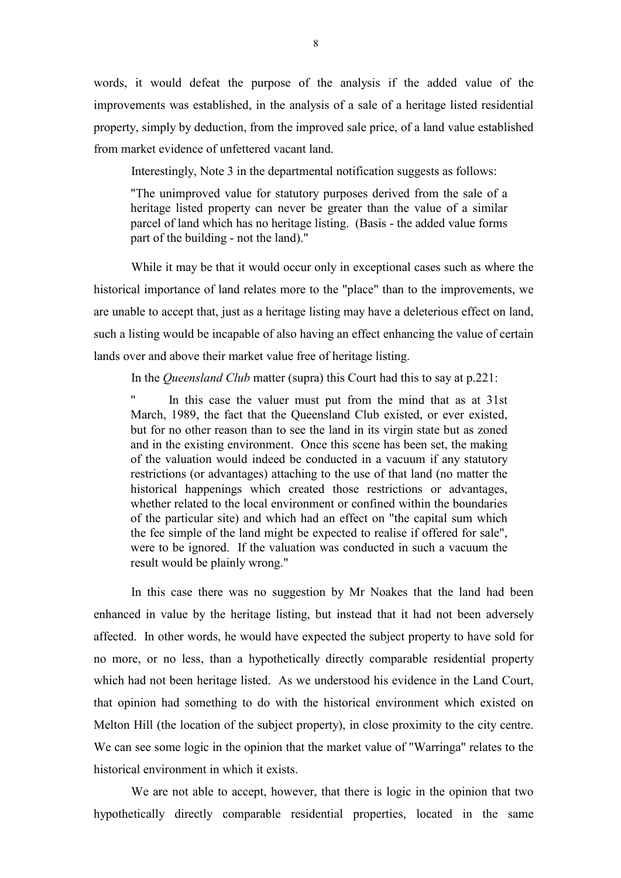words, it would defeat the purpose of the analysis if the added value of the improvements was established, in the analysis of a sale of a heritage listed residential property, simply by deduction, from the improved sale price, of a land value established from market evidence of unfettered vacant land.

Interestingly, Note 3 in the departmental notification suggests as follows:

"The unimproved value for statutory purposes derived from the sale of a heritage listed property can never be greater than the value of a similar parcel of land which has no heritage listing. (Basis - the added value forms part of the building - not the land)."

While it may be that it would occur only in exceptional cases such as where the historical importance of land relates more to the "place" than to the improvements, we are unable to accept that, just as a heritage listing may have a deleterious effect on land, such a listing would be incapable of also having an effect enhancing the value of certain lands over and above their market value free of heritage listing.

In the *Queensland Club* matter (supra) this Court had this to say at p.221:

In this case the valuer must put from the mind that as at 31st March, 1989, the fact that the Queensland Club existed, or ever existed, but for no other reason than to see the land in its virgin state but as zoned and in the existing environment. Once this scene has been set, the making of the valuation would indeed be conducted in a vacuum if any statutory restrictions (or advantages) attaching to the use of that land (no matter the historical happenings which created those restrictions or advantages, whether related to the local environment or confined within the boundaries of the particular site) and which had an effect on "the capital sum which the fee simple of the land might be expected to realise if offered for sale", were to be ignored. If the valuation was conducted in such a vacuum the result would be plainly wrong."

In this case there was no suggestion by Mr Noakes that the land had been enhanced in value by the heritage listing, but instead that it had not been adversely affected. In other words, he would have expected the subject property to have sold for no more, or no less, than a hypothetically directly comparable residential property which had not been heritage listed. As we understood his evidence in the Land Court, that opinion had something to do with the historical environment which existed on Melton Hill (the location of the subject property), in close proximity to the city centre. We can see some logic in the opinion that the market value of "Warringa" relates to the historical environment in which it exists.

We are not able to accept, however, that there is logic in the opinion that two hypothetically directly comparable residential properties, located in the same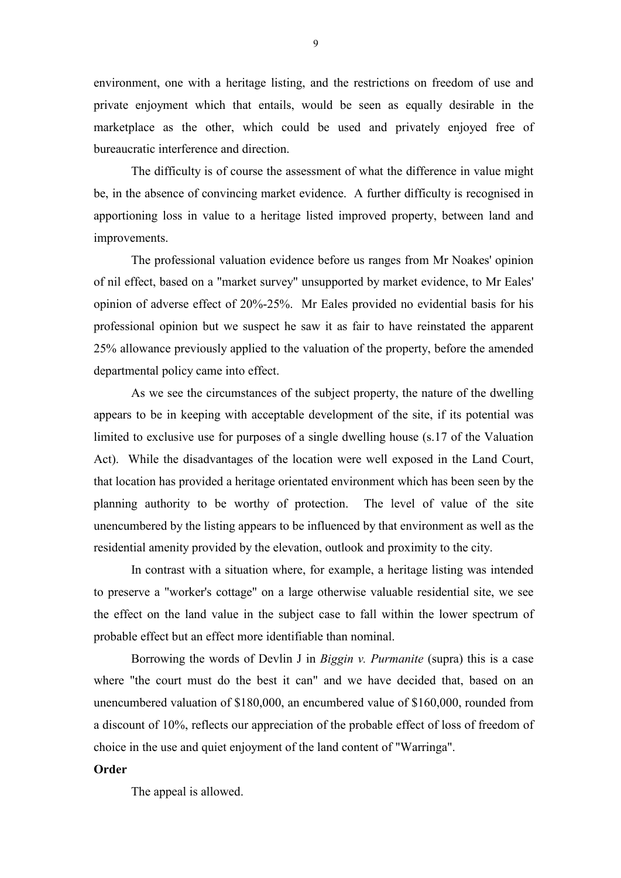environment, one with a heritage listing, and the restrictions on freedom of use and private enjoyment which that entails, would be seen as equally desirable in the marketplace as the other, which could be used and privately enjoyed free of bureaucratic interference and direction.

The difficulty is of course the assessment of what the difference in value might be, in the absence of convincing market evidence. A further difficulty is recognised in apportioning loss in value to a heritage listed improved property, between land and improvements.

The professional valuation evidence before us ranges from Mr Noakes' opinion of nil effect, based on a "market survey" unsupported by market evidence, to Mr Eales' opinion of adverse effect of 20%-25%. Mr Eales provided no evidential basis for his professional opinion but we suspect he saw it as fair to have reinstated the apparent 25% allowance previously applied to the valuation of the property, before the amended departmental policy came into effect.

As we see the circumstances of the subject property, the nature of the dwelling appears to be in keeping with acceptable development of the site, if its potential was limited to exclusive use for purposes of a single dwelling house (s.17 of the Valuation Act). While the disadvantages of the location were well exposed in the Land Court, that location has provided a heritage orientated environment which has been seen by the planning authority to be worthy of protection. The level of value of the site unencumbered by the listing appears to be influenced by that environment as well as the residential amenity provided by the elevation, outlook and proximity to the city.

In contrast with a situation where, for example, a heritage listing was intended to preserve a "worker's cottage" on a large otherwise valuable residential site, we see the effect on the land value in the subject case to fall within the lower spectrum of probable effect but an effect more identifiable than nominal.

Borrowing the words of Devlin J in *Biggin v. Purmanite* (supra) this is a case where "the court must do the best it can" and we have decided that, based on an unencumbered valuation of \$180,000, an encumbered value of \$160,000, rounded from a discount of 10%, reflects our appreciation of the probable effect of loss of freedom of choice in the use and quiet enjoyment of the land content of "Warringa".

### **Order**

The appeal is allowed.